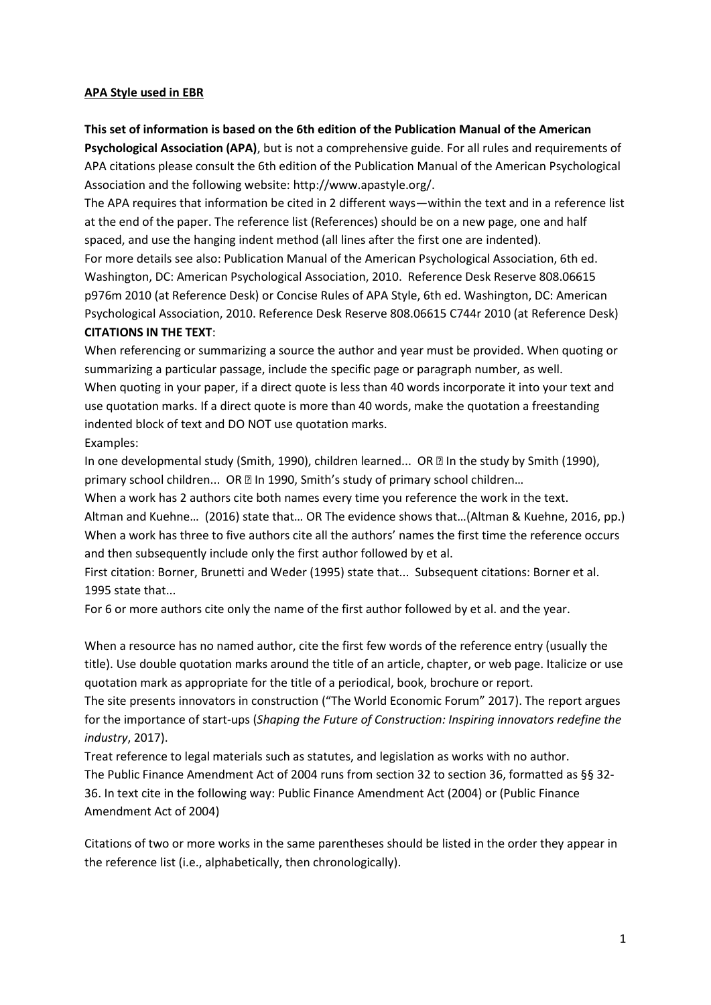## **APA Style used in EBR**

# **This set of information is based on the 6th edition of the Publication Manual of the American Psychological Association (APA)**, but is not a comprehensive guide. For all rules and requirements of APA citations please consult the 6th edition of the Publication Manual of the American Psychological Association and the following website: http://www.apastyle.org/.

The APA requires that information be cited in 2 different ways—within the text and in a reference list at the end of the paper. The reference list (References) should be on a new page, one and half spaced, and use the hanging indent method (all lines after the first one are indented).

For more details see also: Publication Manual of the American Psychological Association, 6th ed. Washington, DC: American Psychological Association, 2010. Reference Desk Reserve 808.06615 p976m 2010 (at Reference Desk) or Concise Rules of APA Style, 6th ed. Washington, DC: American Psychological Association, 2010. Reference Desk Reserve 808.06615 C744r 2010 (at Reference Desk) **CITATIONS IN THE TEXT**:

# When referencing or summarizing a source the author and year must be provided. When quoting or summarizing a particular passage, include the specific page or paragraph number, as well.

When quoting in your paper, if a direct quote is less than 40 words incorporate it into your text and use quotation marks. If a direct quote is more than 40 words, make the quotation a freestanding indented block of text and DO NOT use quotation marks.

# Examples:

In one developmental study (Smith, 1990), children learned... OR  $\mathbb B$  In the study by Smith (1990), primary school children... OR **In 1990**, Smith's study of primary school children...

When a work has 2 authors cite both names every time you reference the work in the text. Altman and Kuehne… (2016) state that… OR The evidence shows that…(Altman & Kuehne, 2016, pp.) When a work has three to five authors cite all the authors' names the first time the reference occurs

and then subsequently include only the first author followed by et al.

First citation: Borner, Brunetti and Weder (1995) state that... Subsequent citations: Borner et al. 1995 state that...

For 6 or more authors cite only the name of the first author followed by et al. and the year.

When a resource has no named author, cite the first few words of the reference entry (usually the title). Use double quotation marks around the title of an article, chapter, or web page. Italicize or use quotation mark as appropriate for the title of a periodical, book, brochure or report.

The site presents innovators in construction ("The World Economic Forum" 2017). The report argues for the importance of start-ups (*Shaping the Future of Construction: Inspiring innovators redefine the industry*, 2017).

Treat reference to legal materials such as statutes, and legislation as works with no author. The Public Finance Amendment Act of 2004 runs from section 32 to section 36, formatted as §§ 32- 36. In text cite in the following way: Public Finance Amendment Act (2004) or (Public Finance Amendment Act of 2004)

Citations of two or more works in the same parentheses should be listed in the order they appear in the reference list (i.e., alphabetically, then chronologically).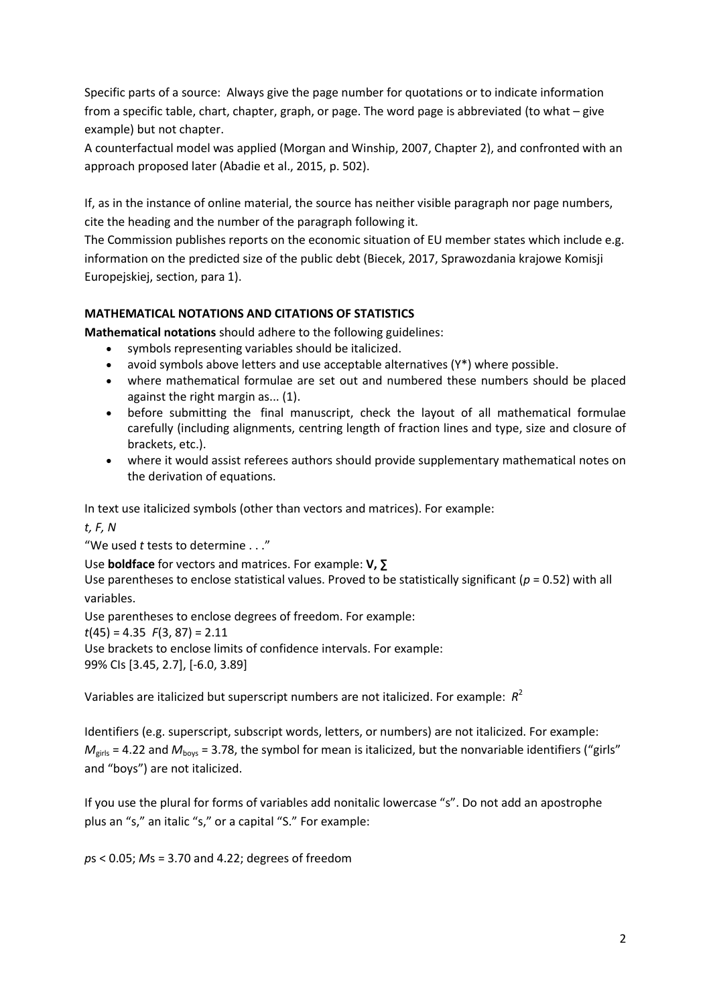Specific parts of a source: Always give the page number for quotations or to indicate information from a specific table, chart, chapter, graph, or page. The word page is abbreviated (to what – give example) but not chapter.

A counterfactual model was applied (Morgan and Winship, 2007, Chapter 2), and confronted with an approach proposed later (Abadie et al., 2015, p. 502).

If, as in the instance of online material, the source has neither visible paragraph nor page numbers, cite the heading and the number of the paragraph following it.

The Commission publishes reports on the economic situation of EU member states which include e.g. information on the predicted size of the public debt (Biecek, 2017, Sprawozdania krajowe Komisji Europejskiej, section, para 1).

# **MATHEMATICAL NOTATIONS AND CITATIONS OF STATISTICS**

**Mathematical notations** should adhere to the following guidelines:

- symbols representing variables should be italicized.
- avoid symbols above letters and use acceptable alternatives (Y\*) where possible.
- where mathematical formulae are set out and numbered these numbers should be placed against the right margin as... (1).
- before submitting the final manuscript, check the layout of all mathematical formulae carefully (including alignments, centring length of fraction lines and type, size and closure of brackets, etc.).
- where it would assist referees authors should provide supplementary mathematical notes on the derivation of equations.

In text use italicized symbols (other than vectors and matrices). For example:

*t, F, N*

"We used *t* tests to determine . . ."

Use **boldface** for vectors and matrices. For example: **V, ∑**

Use parentheses to enclose statistical values. Proved to be statistically significant (*p* = 0.52) with all variables.

Use parentheses to enclose degrees of freedom. For example: *t*(45) = 4.35 *F*(3, 87) = 2.11 Use brackets to enclose limits of confidence intervals. For example: 99% CIs [3.45, 2.7], [-6.0, 3.89]

Variables are italicized but superscript numbers are not italicized. For example: *R* 2

Identifiers (e.g. superscript, subscript words, letters, or numbers) are not italicized. For example:  $M_{\text{girls}}$  = 4.22 and  $M_{\text{boys}}$  = 3.78, the symbol for mean is italicized, but the nonvariable identifiers ("girls" and "boys") are not italicized.

If you use the plural for forms of variables add nonitalic lowercase "s". Do not add an apostrophe plus an "s," an italic "s," or a capital "S." For example:

*p*s < 0.05; *M*s = 3.70 and 4.22; degrees of freedom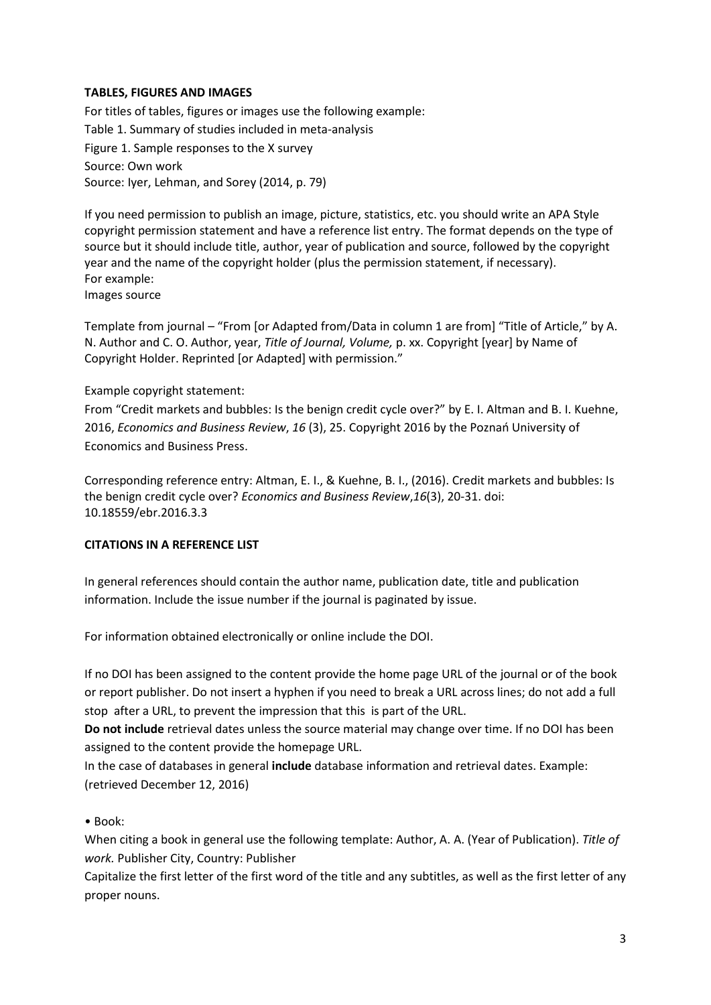## **TABLES, FIGURES AND IMAGES**

For titles of tables, figures or images use the following example: Table 1. Summary of studies included in meta-analysis Figure 1. Sample responses to the X survey Source: Own work Source: Iyer, Lehman, and Sorey (2014, p. 79)

If you need permission to publish an image, picture, statistics, etc. you should write an APA Style copyright permission statement and have a reference list entry. The format depends on the type of source but it should include title, author, year of publication and source, followed by the copyright year and the name of the copyright holder (plus the permission statement, if necessary). For example: Images source

Template from journal – "From [or Adapted from/Data in column 1 are from] "Title of Article," by A. N. Author and C. O. Author, year, *Title of Journal, Volume,* p. xx. Copyright [year] by Name of Copyright Holder. Reprinted [or Adapted] with permission."

### Example copyright statement:

From "Credit markets and bubbles: Is the benign credit cycle over?" by E. I. Altman and B. I. Kuehne, 2016, *Economics and Business Review*, *16* (3), 25. Copyright 2016 by the Poznań University of Economics and Business Press.

Corresponding reference entry: Altman, E. I., & Kuehne, B. I., (2016). Credit markets and bubbles: Is the benign credit cycle over? *Economics and Business Review*,*16*(3), 20-31. doi: 10.18559/ebr.2016.3.3

### **CITATIONS IN A REFERENCE LIST**

In general references should contain the author name, publication date, title and publication information. Include the issue number if the journal is paginated by issue.

For information obtained electronically or online include the DOI.

If no DOI has been assigned to the content provide the home page URL of the journal or of the book or report publisher. Do not insert a hyphen if you need to break a URL across lines; do not add a full stop after a URL, to prevent the impression that this is part of the URL.

**Do not include** retrieval dates unless the source material may change over time. If no DOI has been assigned to the content provide the homepage URL.

In the case of databases in general **include** database information and retrieval dates. Example: (retrieved December 12, 2016)

### • Book:

When citing a book in general use the following template: Author, A. A. (Year of Publication). *Title of work.* Publisher City, Country: Publisher

Capitalize the first letter of the first word of the title and any subtitles, as well as the first letter of any proper nouns.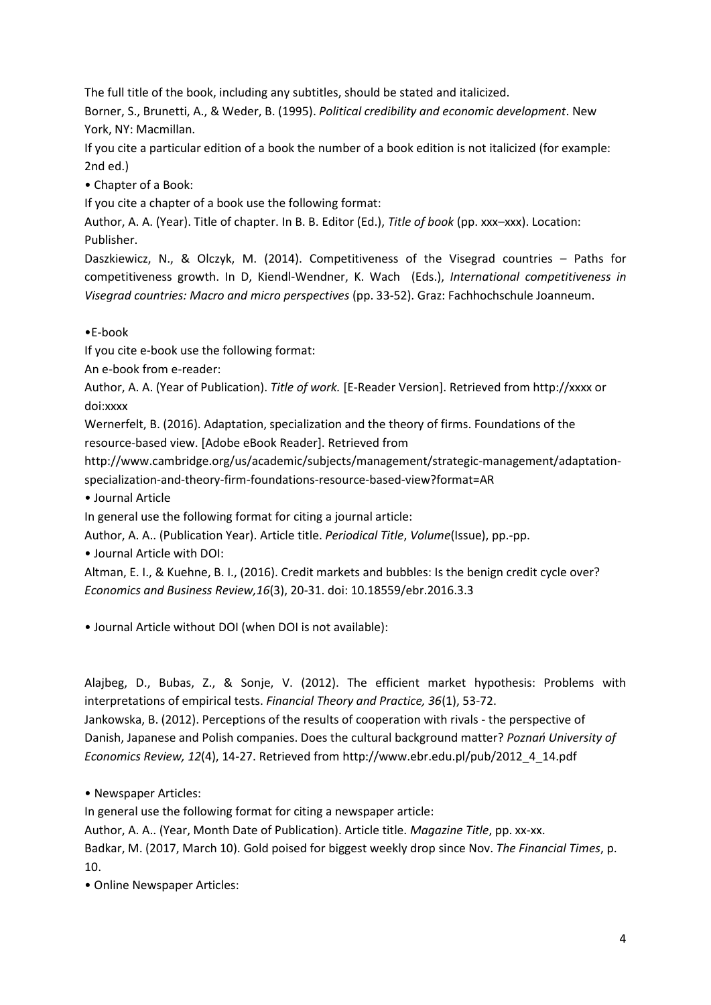The full title of the book, including any subtitles, should be stated and italicized.

Borner, S., Brunetti, A., & Weder, B. (1995). *Political credibility and economic development*. New York, NY: Macmillan.

If you cite a particular edition of a book the number of a book edition is not italicized (for example: 2nd ed.)

• Chapter of a Book:

If you cite a chapter of a book use the following format:

Author, A. A. (Year). Title of chapter. In B. B. Editor (Ed.), *Title of book* (pp. xxx–xxx). Location: Publisher.

Daszkiewicz, N., & Olczyk, M. (2014). Competitiveness of the Visegrad countries – Paths for competitiveness growth. In D, Kiendl-Wendner, K. Wach (Eds.), *International competitiveness in Visegrad countries: Macro and micro perspectives* (pp. 33-52). Graz: Fachhochschule Joanneum.

•E-book

If you cite e-book use the following format:

An e-book from e-reader:

Author, A. A. (Year of Publication). *Title of work.* [E-Reader Version]. Retrieved from http://xxxx or doi:xxxx

Wernerfelt, B. (2016). Adaptation, specialization and the theory of firms. Foundations of the resource-based view. [Adobe eBook Reader]. Retrieved from

http://www.cambridge.org/us/academic/subjects/management/strategic-management/adaptationspecialization-and-theory-firm-foundations-resource-based-view?format=AR

• Journal Article

In general use the following format for citing a journal article:

Author, A. A.. (Publication Year). Article title. *Periodical Title*, *Volume*(Issue), pp.-pp.

• Journal Article with DOI:

Altman, E. I., & Kuehne, B. I., (2016). Credit markets and bubbles: Is the benign credit cycle over? *Economics and Business Review,16*(3), 20-31. doi: 10.18559/ebr.2016.3.3

• Journal Article without DOI (when DOI is not available):

Alajbeg, D., Bubas, Z., & Sonje, V. (2012). The efficient market hypothesis: Problems with interpretations of empirical tests. *Financial Theory and Practice, 36*(1), 53-72.

Jankowska, B. (2012). Perceptions of the results of cooperation with rivals - the perspective of Danish, Japanese and Polish companies. Does the cultural background matter? *Poznań University of Economics Review, 12*(4), 14-27. Retrieved from http://www.ebr.edu.pl/pub/2012\_4\_14.pdf

• Newspaper Articles:

In general use the following format for citing a newspaper article:

Author, A. A.. (Year, Month Date of Publication). Article title. *Magazine Title*, pp. xx-xx.

Badkar, M. (2017, March 10). Gold poised for biggest weekly drop since Nov. *The Financial Times*, p. 10.

• Online Newspaper Articles: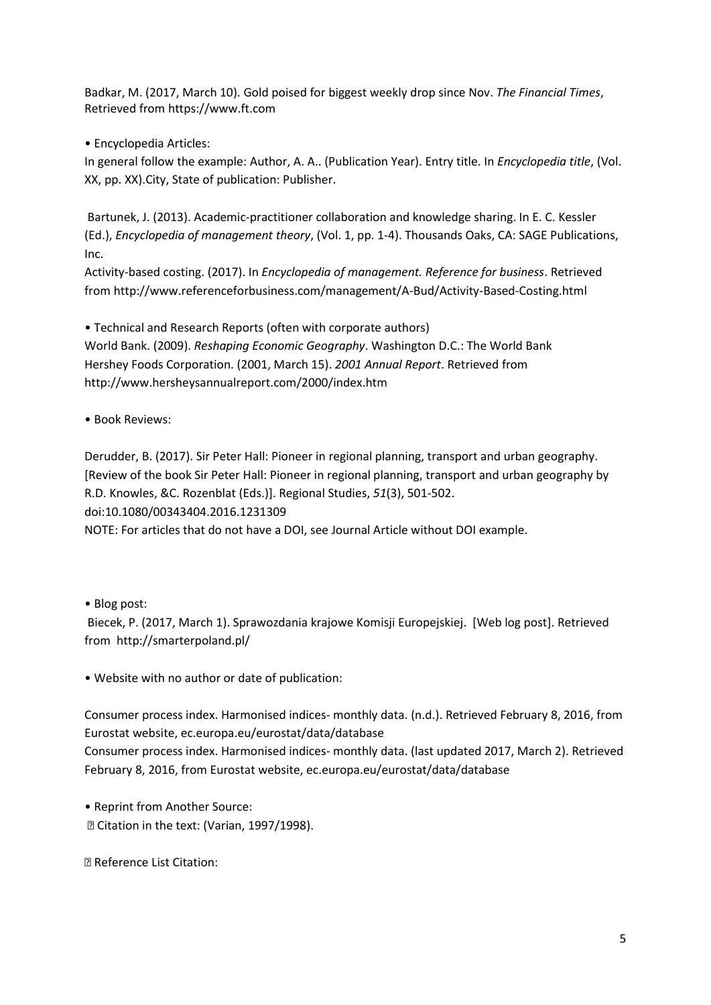Badkar, M. (2017, March 10). Gold poised for biggest weekly drop since Nov. *The Financial Times*, Retrieved from https://www.ft.com

• Encyclopedia Articles:

In general follow the example: Author, A. A.. (Publication Year). Entry title. In *Encyclopedia title*, (Vol. XX, pp. XX).City, State of publication: Publisher.

Bartunek, J. (2013). Academic-practitioner collaboration and knowledge sharing. In E. C. Kessler (Ed.), *Encyclopedia of management theory*, (Vol. 1, pp. 1-4). Thousands Oaks, CA: SAGE Publications, Inc.

Activity-based costing. (2017). In *Encyclopedia of management. Reference for business*. Retrieved from http://www.referenceforbusiness.com/management/A-Bud/Activity-Based-Costing.html

• Technical and Research Reports (often with corporate authors) World Bank. (2009). *Reshaping Economic Geography*. Washington D.C.: The World Bank Hershey Foods Corporation. (2001, March 15). *2001 Annual Report*. Retrieved from http://www.hersheysannualreport.com/2000/index.htm

• Book Reviews:

Derudder, B. (2017). Sir Peter Hall: Pioneer in regional planning, transport and urban geography. [Review of the book Sir Peter Hall: Pioneer in regional planning, transport and urban geography by R.D. Knowles, &C. Rozenblat (Eds.)]. Regional Studies, *51*(3), 501-502. doi:10.1080/00343404.2016.1231309

NOTE: For articles that do not have a DOI, see Journal Article without DOI example.

• Blog post:

Biecek, P. (2017, March 1). Sprawozdania krajowe Komisji Europejskiej. [Web log post]. Retrieved from http://smarterpoland.pl/

• Website with no author or date of publication:

Consumer process index. Harmonised indices- monthly data. (n.d.). Retrieved February 8, 2016, from Eurostat website, ec.europa.eu/eurostat/data/database

Consumer process index. Harmonised indices- monthly data. (last updated 2017, March 2). Retrieved February 8, 2016, from Eurostat website, ec.europa.eu/eurostat/data/database

• Reprint from Another Source: Citation in the text: (Varian, 1997/1998).

Reference List Citation: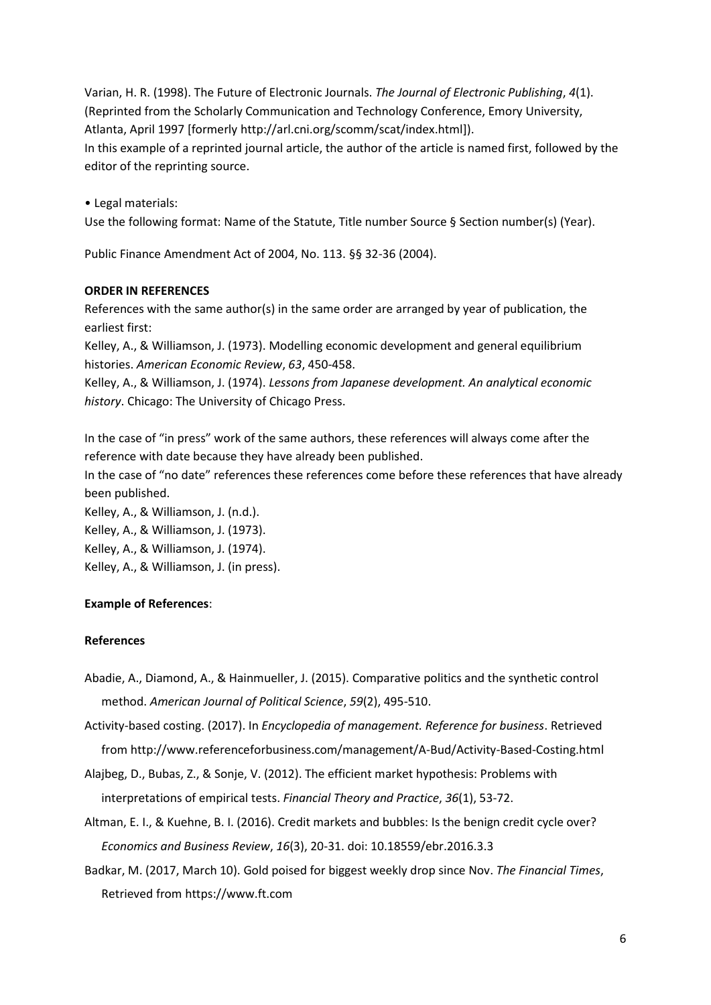Varian, H. R. (1998). The Future of Electronic Journals. *The Journal of Electronic Publishing*, *4*(1). (Reprinted from the Scholarly Communication and Technology Conference, Emory University, Atlanta, April 1997 [formerly http://arl.cni.org/scomm/scat/index.html]). In this example of a reprinted journal article, the author of the article is named first, followed by the editor of the reprinting source.

• Legal materials: Use the following format: Name of the Statute, Title number Source § Section number(s) (Year).

Public Finance Amendment Act of 2004, No. 113. §§ 32-36 (2004).

### **ORDER IN REFERENCES**

References with the same author(s) in the same order are arranged by year of publication, the earliest first:

Kelley, A., & Williamson, J. (1973). Modelling economic development and general equilibrium histories. *American Economic Review*, *63*, 450-458.

Kelley, A., & Williamson, J. (1974). *Lessons from Japanese development. An analytical economic history*. Chicago: The University of Chicago Press.

In the case of "in press" work of the same authors, these references will always come after the reference with date because they have already been published.

In the case of "no date" references these references come before these references that have already been published.

Kelley, A., & Williamson, J. (n.d.). Kelley, A., & Williamson, J. (1973). Kelley, A., & Williamson, J. (1974). Kelley, A., & Williamson, J. (in press).

# **Example of References**:

### **References**

- Abadie, A., Diamond, A., & Hainmueller, J. (2015). Comparative politics and the synthetic control method. *American Journal of Political Science*, *59*(2), 495-510.
- Activity-based costing. (2017). In *Encyclopedia of management. Reference for business*. Retrieved from http://www.referenceforbusiness.com/management/A-Bud/Activity-Based-Costing.html
- Alajbeg, D., Bubas, Z., & Sonje, V. (2012). The efficient market hypothesis: Problems with interpretations of empirical tests. *Financial Theory and Practice*, *36*(1), 53-72.
- Altman, E. I., & Kuehne, B. I. (2016). Credit markets and bubbles: Is the benign credit cycle over? *Economics and Business Review*, *16*(3), 20-31. doi: 10.18559/ebr.2016.3.3
- Badkar, M. (2017, March 10). Gold poised for biggest weekly drop since Nov. *The Financial Times*, Retrieved from https://www.ft.com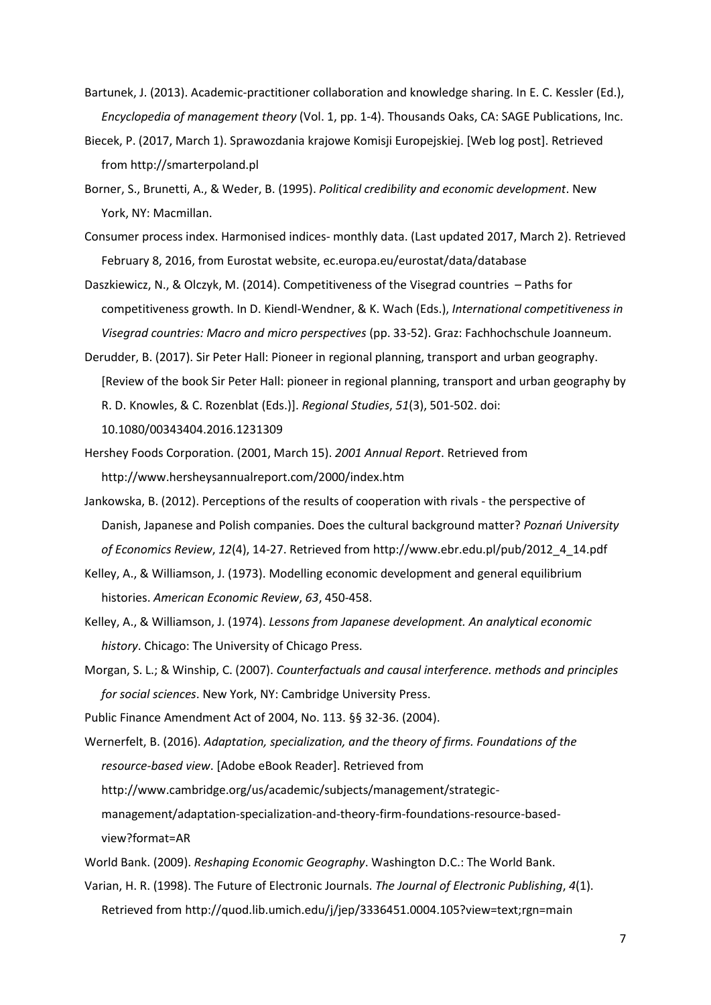- Bartunek, J. (2013). Academic-practitioner collaboration and knowledge sharing. In E. C. Kessler (Ed.), *Encyclopedia of management theory* (Vol. 1, pp. 1-4). Thousands Oaks, CA: SAGE Publications, Inc.
- Biecek, P. (2017, March 1). Sprawozdania krajowe Komisji Europejskiej. [Web log post]. Retrieved from http://smarterpoland.pl
- Borner, S., Brunetti, A., & Weder, B. (1995). *Political credibility and economic development*. New York, NY: Macmillan.
- Consumer process index. Harmonised indices- monthly data. (Last updated 2017, March 2). Retrieved February 8, 2016, from Eurostat website, ec.europa.eu/eurostat/data/database
- Daszkiewicz, N., & Olczyk, M. (2014). Competitiveness of the Visegrad countries Paths for competitiveness growth. In D. Kiendl-Wendner, & K. Wach (Eds.), *International competitiveness in Visegrad countries: Macro and micro perspectives* (pp. 33-52). Graz: Fachhochschule Joanneum.
- Derudder, B. (2017). Sir Peter Hall: Pioneer in regional planning, transport and urban geography. [Review of the book Sir Peter Hall: pioneer in regional planning, transport and urban geography by R. D. Knowles, & C. Rozenblat (Eds.)]. *Regional Studies*, *51*(3), 501-502. doi: 10.1080/00343404.2016.1231309
- Hershey Foods Corporation. (2001, March 15). *2001 Annual Report*. Retrieved from http://www.hersheysannualreport.com/2000/index.htm
- Jankowska, B. (2012). Perceptions of the results of cooperation with rivals the perspective of Danish, Japanese and Polish companies. Does the cultural background matter? *Poznań University of Economics Review*, *12*(4), 14-27. Retrieved from http://www.ebr.edu.pl/pub/2012\_4\_14.pdf
- Kelley, A., & Williamson, J. (1973). Modelling economic development and general equilibrium histories. *American Economic Review*, *63*, 450-458.
- Kelley, A., & Williamson, J. (1974). *Lessons from Japanese development. An analytical economic history*. Chicago: The University of Chicago Press.
- Morgan, S. L.; & Winship, C. (2007). *Counterfactuals and causal interference. methods and principles for social sciences*. New York, NY: Cambridge University Press.
- Public Finance Amendment Act of 2004, No. 113. §§ 32-36. (2004).
- Wernerfelt, B. (2016). *Adaptation, specialization, and the theory of firms. Foundations of the resource-based view*. [Adobe eBook Reader]. Retrieved from http://www.cambridge.org/us/academic/subjects/management/strategic
	- management/adaptation-specialization-and-theory-firm-foundations-resource-basedview?format=AR
- World Bank. (2009). *Reshaping Economic Geography*. Washington D.C.: The World Bank.
- Varian, H. R. (1998). The Future of Electronic Journals. *The Journal of Electronic Publishing*, *4*(1). Retrieved from http://quod.lib.umich.edu/j/jep/3336451.0004.105?view=text;rgn=main